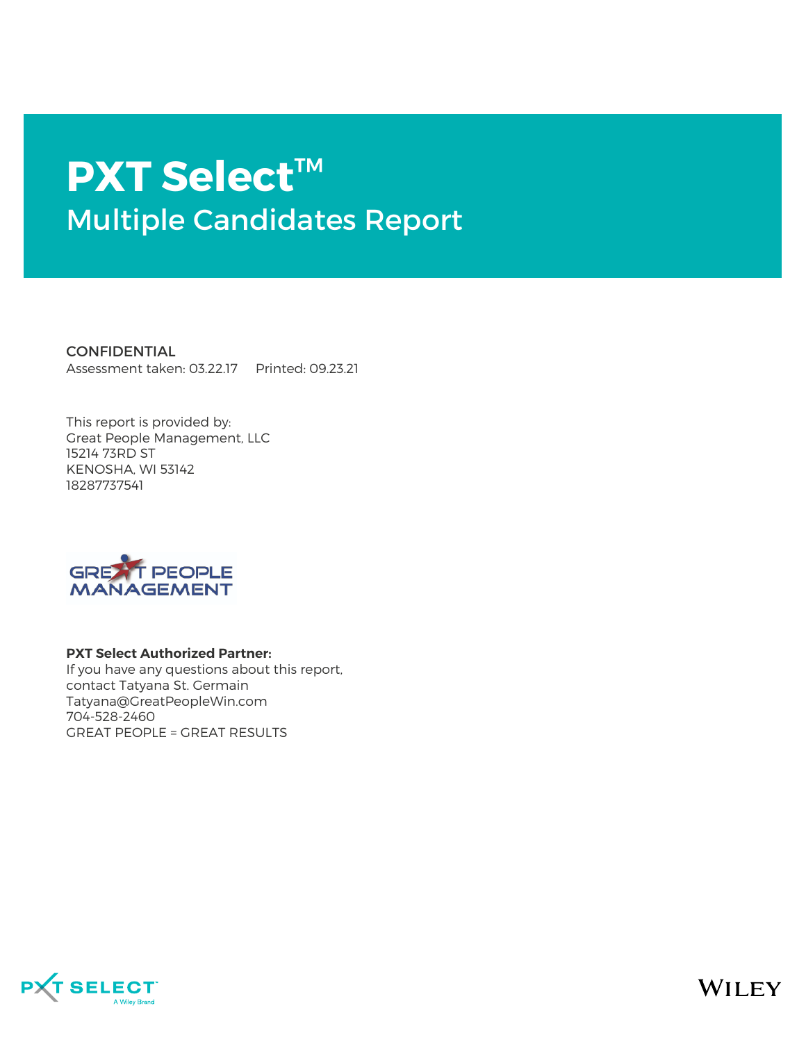# **PXT Select**™ Multiple Candidates Report

**CONFIDENTIAL** Assessment taken: 03.22.17 Printed: 09.23.21

This report is provided by: Great People Management, LLC 15214 73RD ST KENOSHA, WI 53142 18287737541



#### **PXT Select Authorized Partner:**

If you have any questions about this report, contact Tatyana St. Germain Tatyana@GreatPeopleWin.com 704-528-2460 GREAT PEOPLE = GREAT RESULTS



**WILEY**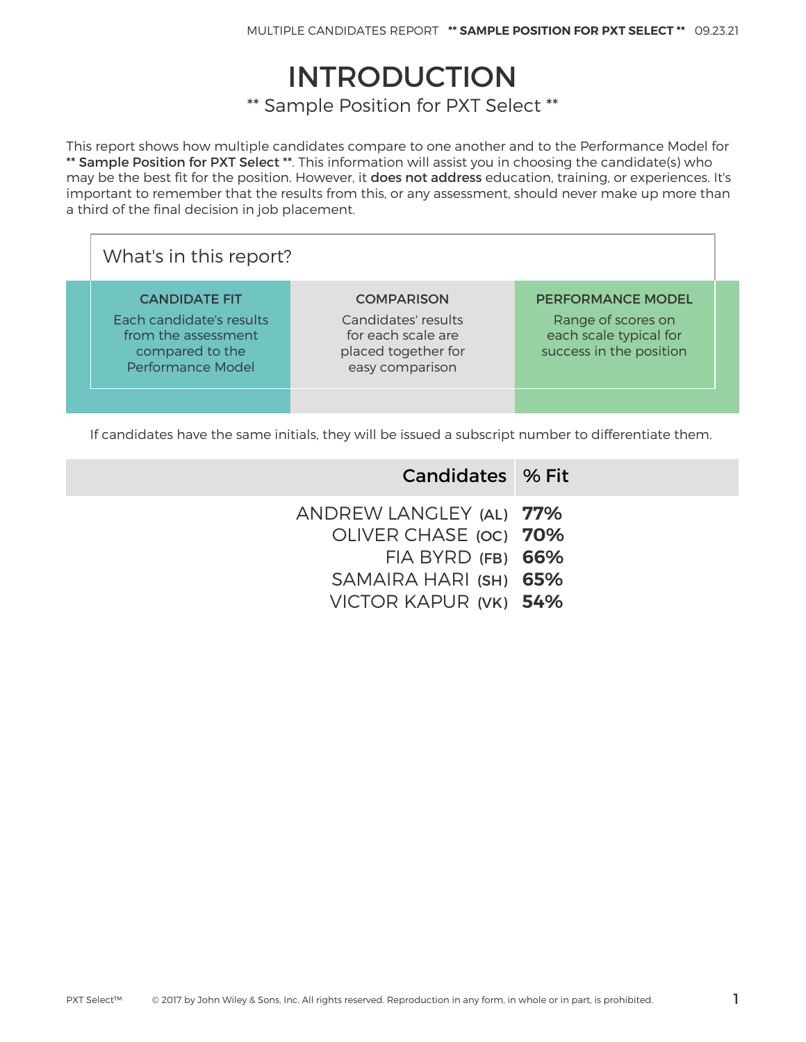## INTRODUCTION

\*\* Sample Position for PXT Select \*\*

This report shows how multiple candidates compare to one another and to the Performance Model for \*\* Sample Position for PXT Select \*\*. This information will assist you in choosing the candidate(s) who may be the best fit for the position. However, it does not address education, training, or experiences. It's important to remember that the results from this, or any assessment, should never make up more than a third of the final decision in job placement.

| What's in this report?                                                                                                 |                                                                                                          |                                                                                                     |  |  |  |  |  |
|------------------------------------------------------------------------------------------------------------------------|----------------------------------------------------------------------------------------------------------|-----------------------------------------------------------------------------------------------------|--|--|--|--|--|
| <b>CANDIDATE FIT</b><br>Each candidate's results<br>from the assessment<br>compared to the<br><b>Performance Model</b> | <b>COMPARISON</b><br>Candidates' results<br>for each scale are<br>placed together for<br>easy comparison | <b>PERFORMANCE MODEL</b><br>Range of scores on<br>each scale typical for<br>success in the position |  |  |  |  |  |
|                                                                                                                        |                                                                                                          |                                                                                                     |  |  |  |  |  |

If candidates have the same initials, they will be issued a subscript number to differentiate them.

| Candidates % Fit                                 |
|--------------------------------------------------|
| ANDREW LANGLEY (AL) 77%<br>OLIVER CHASE (OC) 70% |
| $FIA$ BYRD $(FB)$ 66%<br>SAMAIRA HARI (SH) 65%   |
| VICTOR KAPUR (VK) 54%                            |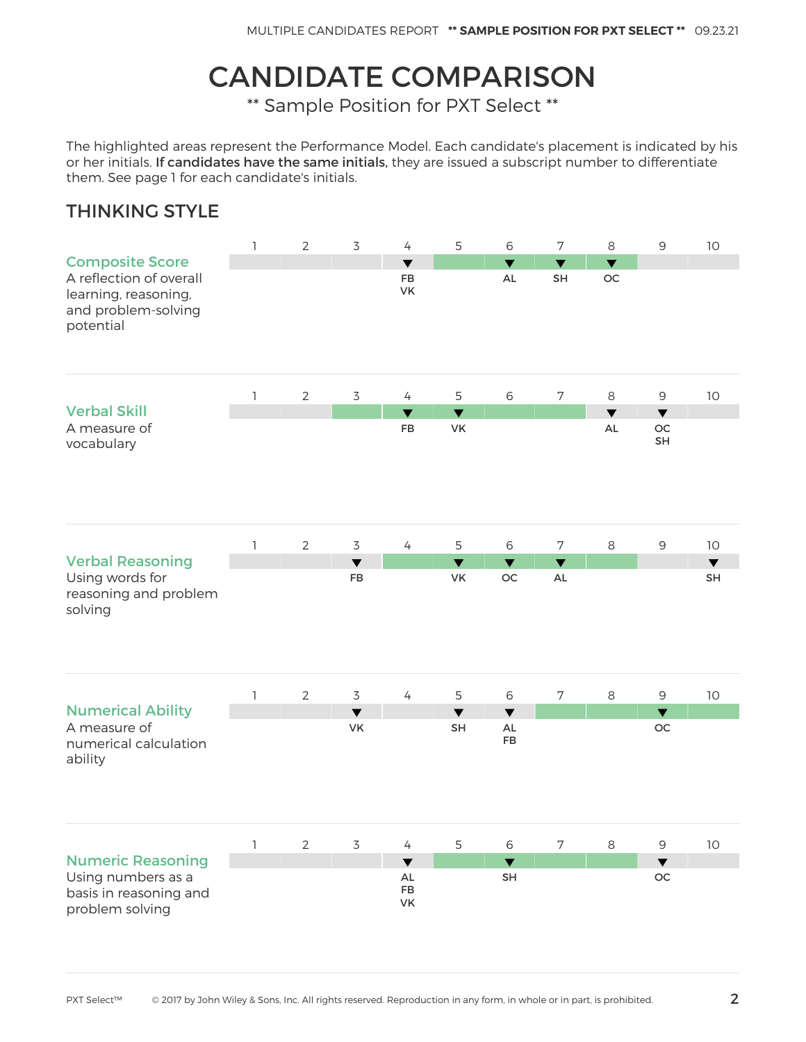## CANDIDATE COMPARISON

\*\* Sample Position for PXT Select \*\*

The highlighted areas represent the Performance Model. Each candidate's placement is indicated by his or her initials. If candidates have the same initials, they are issued a subscript number to differentiate them. See page 1 for each candidate's initials.

#### THINKING STYLE

|                                                                                                               | $\mathbf{1}$ | $\overline{2}$ | $\overline{3}$             | $\overline{4}$                                | 5                          | $\,$ 6                                      | $\overline{7}$                           | 8                          | $\mathsf 9$                             | $10$                       |
|---------------------------------------------------------------------------------------------------------------|--------------|----------------|----------------------------|-----------------------------------------------|----------------------------|---------------------------------------------|------------------------------------------|----------------------------|-----------------------------------------|----------------------------|
| <b>Composite Score</b><br>A reflection of overall<br>learning, reasoning,<br>and problem-solving<br>potential |              |                |                            | $\overline{\textbf{v}}$<br><b>FB</b><br>VK    |                            | $\overline{\textbf{v}}$<br>AL               | $\overline{\mathbf{v}}$<br>SH            | $\blacktriangledown$<br>OC |                                         |                            |
|                                                                                                               | $\mathbb{I}$ | $\overline{2}$ | $\mathsf 3$                | 4                                             | 5                          | 6                                           | $\boldsymbol{7}$                         | 8                          | $\mathsf 9$                             | $10$                       |
| <b>Verbal Skill</b><br>A measure of<br>vocabulary                                                             |              |                |                            | $\blacktriangledown$<br><b>FB</b>             | $\blacktriangledown$<br>VK |                                             |                                          | $\blacktriangledown$<br>AL | $\blacktriangledown$<br>OC<br><b>SH</b> |                            |
|                                                                                                               | 1            | $\overline{2}$ | $\overline{3}$             | $\overline{4}$                                | 5                          | 6                                           | $\overline{7}$                           | 8                          | $\mathsf 9$                             | $10$                       |
| <b>Verbal Reasoning</b><br>Using words for<br>reasoning and problem<br>solving                                |              |                | $\blacktriangledown$<br>FB |                                               | $\blacktriangledown$<br>VK | $\blacktriangledown$<br>OC                  | $\overline{\textbf{v}}$<br>$\mathsf{AL}$ |                            |                                         | $\blacktriangledown$<br>SH |
|                                                                                                               | $\mathbf{I}$ | $\overline{2}$ | $\overline{3}$             | $\overline{4}$                                | 5                          | 6                                           | $\overline{7}$                           | $\,8\,$                    | 9                                       | 10                         |
| <b>Numerical Ability</b><br>A measure of<br>numerical calculation<br>ability                                  |              |                | $\blacktriangledown$<br>VK |                                               | $\blacktriangledown$<br>SH | $\blacktriangledown$<br>$\mathsf{AL}$<br>FB |                                          |                            | $\blacktriangledown$<br>OC              |                            |
|                                                                                                               | 1            | $\overline{2}$ | $\overline{3}$             | $\overline{4}$                                | 5                          | 6                                           | $\overline{7}$                           | $\,8\,$                    | $\mathsf 9$                             | 10                         |
| <b>Numeric Reasoning</b><br>Using numbers as a<br>basis in reasoning and<br>problem solving                   |              |                |                            | $\blacktriangledown$<br>AL<br><b>FB</b><br>VK |                            | $\blacktriangledown$<br>SH                  |                                          |                            | $\blacktriangledown$<br>OC.             |                            |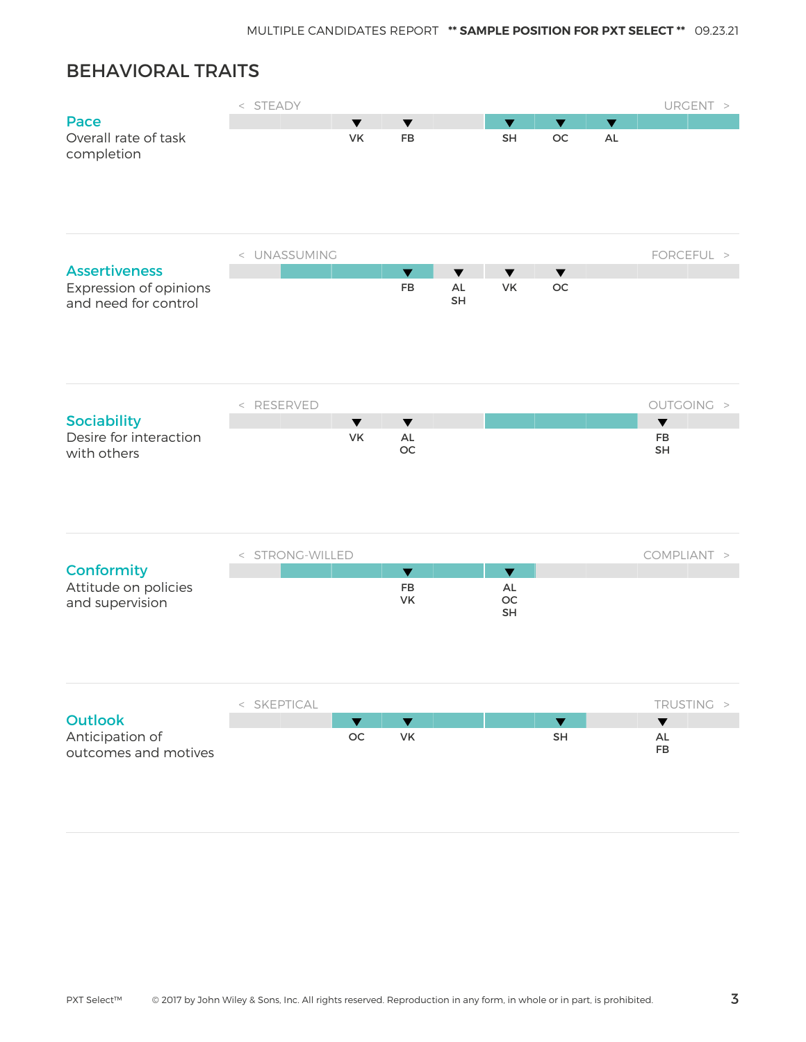### BEHAVIORAL TRAITS

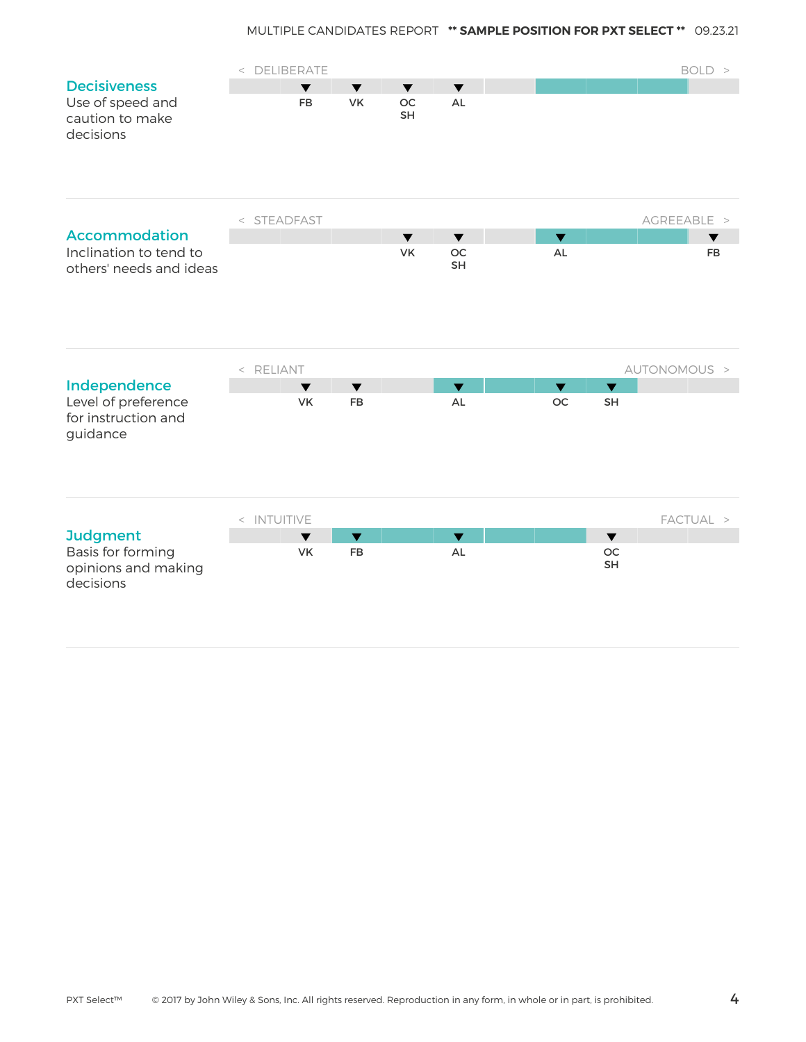|                                                        | < DELIBERATE |                      |                      |                         |                         |                         |                      | BOLD >       |
|--------------------------------------------------------|--------------|----------------------|----------------------|-------------------------|-------------------------|-------------------------|----------------------|--------------|
| <b>Decisiveness</b>                                    |              | $\blacktriangledown$ | $\blacktriangledown$ | $\overline{\textbf{v}}$ | $\blacktriangledown$    |                         |                      |              |
| Use of speed and<br>caution to make<br>decisions       |              | <b>FB</b>            | <b>VK</b>            | <b>OC</b><br><b>SH</b>  | AL                      |                         |                      |              |
|                                                        | < STEADFAST  |                      |                      |                         |                         |                         |                      | AGREEABLE >  |
| <b>Accommodation</b>                                   |              |                      |                      | $\blacktriangledown$    | $\blacktriangledown$    | $\blacktriangledown$    |                      | ▼            |
| Inclination to tend to<br>others' needs and ideas      |              |                      |                      | VK                      | OC<br><b>SH</b>         | $\mathsf{AL}$           |                      | <b>FB</b>    |
|                                                        | < RELIANT    |                      |                      |                         |                         |                         |                      | AUTONOMOUS > |
| Independence                                           |              | $\blacktriangledown$ | $\blacktriangledown$ |                         | $\blacktriangledown$    | $\overline{\textbf{v}}$ | $\blacktriangledown$ |              |
| Level of preference<br>for instruction and<br>guidance |              | <b>VK</b>            | <b>FB</b>            |                         | <b>AL</b>               | <b>OC</b>               | <b>SH</b>            |              |
|                                                        | < INTUITIVE  |                      |                      |                         |                         |                         |                      | FACTUAL >    |
| <b>Judgment</b>                                        |              | $\blacktriangledown$ | $\blacktriangledown$ |                         | $\overline{\textbf{v}}$ |                         | $\blacktriangledown$ |              |
| Basis for forming<br>opinions and making<br>decisions  |              | VK                   | FB                   |                         | $\mathsf{AL}$           |                         | OC<br>SH             |              |